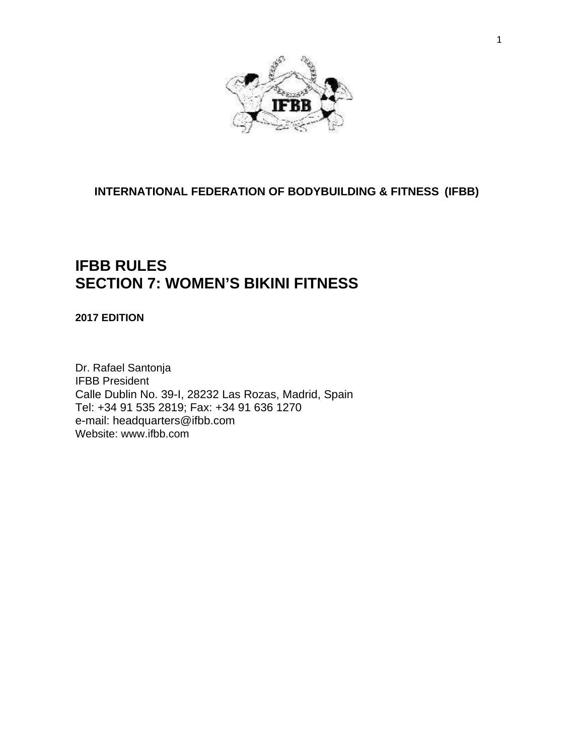

**INTERNATIONAL FEDERATION OF BODYBUILDING & FITNESS (IFBB)**

## **IFBB RULES SECTION 7: WOMEN'S BIKINI FITNESS**

**2017 EDITION**

Dr. Rafael Santonja IFBB President Calle Dublin No. 39-I, 28232 Las Rozas, Madrid, Spain Tel: +34 91 535 2819; Fax: +34 91 636 1270 e-mail: [headquarters@ifbb.com](mailto:headquarters@ifbb.com) Website: [www.ifbb.com](http://www.ifbb.com/)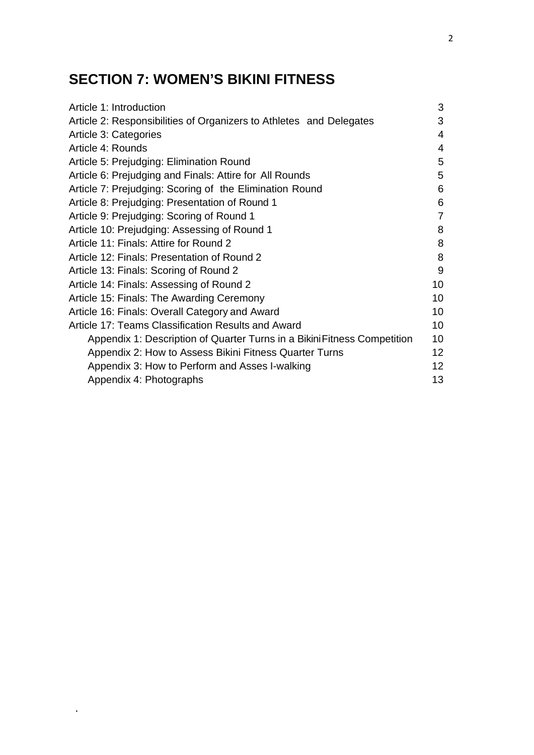# **SECTION 7: WOMEN'S BIKINI FITNESS**

.

| Article 1: Introduction                                                  | 3               |
|--------------------------------------------------------------------------|-----------------|
| Article 2: Responsibilities of Organizers to Athletes and Delegates      | 3               |
| Article 3: Categories                                                    | 4               |
| Article 4: Rounds                                                        | 4               |
| Article 5: Prejudging: Elimination Round                                 | 5               |
| Article 6: Prejudging and Finals: Attire for All Rounds                  | 5               |
| Article 7: Prejudging: Scoring of the Elimination Round                  | 6               |
| Article 8: Prejudging: Presentation of Round 1                           | 6               |
| Article 9: Prejudging: Scoring of Round 1                                | 7               |
| Article 10: Prejudging: Assessing of Round 1                             | 8               |
| Article 11: Finals: Attire for Round 2                                   | 8               |
| Article 12: Finals: Presentation of Round 2                              | 8               |
| Article 13: Finals: Scoring of Round 2                                   | 9               |
| Article 14: Finals: Assessing of Round 2                                 | 10              |
| Article 15: Finals: The Awarding Ceremony                                | 10              |
| Article 16: Finals: Overall Category and Award                           | 10              |
| Article 17: Teams Classification Results and Award                       | 10              |
| Appendix 1: Description of Quarter Turns in a Bikini Fitness Competition | 10              |
| Appendix 2: How to Assess Bikini Fitness Quarter Turns                   | 12 <sup>2</sup> |
| Appendix 3: How to Perform and Asses I-walking                           | 12 <sub>2</sub> |
| Appendix 4: Photographs                                                  | 13              |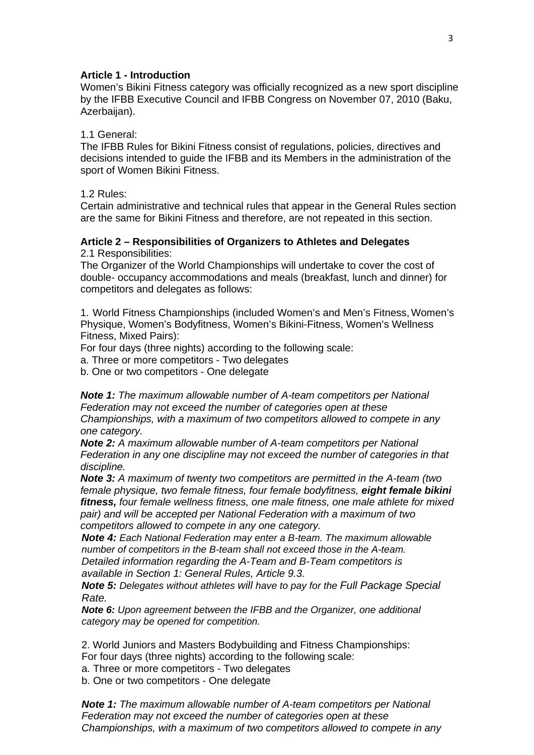#### **Article 1 - Introduction**

Women's Bikini Fitness category was officially recognized as a new sport discipline by the IFBB Executive Council and IFBB Congress on November 07, 2010 (Baku, Azerbaijan).

#### 1.1 General:

The IFBB Rules for Bikini Fitness consist of regulations, policies, directives and decisions intended to guide the IFBB and its Members in the administration of the sport of Women Bikini Fitness.

1.2 Rules:

Certain administrative and technical rules that appear in the General Rules section are the same for Bikini Fitness and therefore, are not repeated in this section.

### **Article 2 – Responsibilities of Organizers to Athletes and Delegates**

2.1 Responsibilities:

The Organizer of the World Championships will undertake to cover the cost of double- occupancy accommodations and meals (breakfast, lunch and dinner) for competitors and delegates as follows:

1. World Fitness Championships (included Women's and Men's Fitness, Women's Physique, Women's Bodyfitness, Women's Bikini-Fitness, Women's Wellness Fitness, Mixed Pairs):

For four days (three nights) according to the following scale:

a. Three or more competitors - Two delegates

b. One or two competitors - One delegate

*Note 1: The maximum allowable number of A-team competitors per National Federation may not exceed the number of categories open at these Championships, with a maximum of two competitors allowed to compete in any one category.*

*Note 2: A maximum allowable number of A-team competitors per National Federation in any one discipline may not exceed the number of categories in that discipline.*

*Note 3: A maximum of twenty two competitors are permitted in the A-team (two female physique, two female fitness, four female bodyfitness, eight female bikini fitness, four female wellness fitness, one male fitness, one male athlete for mixed pair) and will be accepted per National Federation with a maximum of two competitors allowed to compete in any one category.*

*Note 4: Each National Federation may enter a B-team. The maximum allowable number of competitors in the B-team shall not exceed those in the A-team. Detailed information regarding the A-Team and B-Team competitors is* 

*available in Section 1: General Rules, Article 9.3.*

*Note 5: Delegates without athletes will have to pay for the Full Package Special Rate.*

*Note 6: Upon agreement between the IFBB and the Organizer, one additional category may be opened for competition.*

2. World Juniors and Masters Bodybuilding and Fitness Championships:

For four days (three nights) according to the following scale:

a. Three or more competitors - Two delegates

b. One or two competitors - One delegate

*Note 1: The maximum allowable number of A-team competitors per National Federation may not exceed the number of categories open at these Championships, with a maximum of two competitors allowed to compete in any*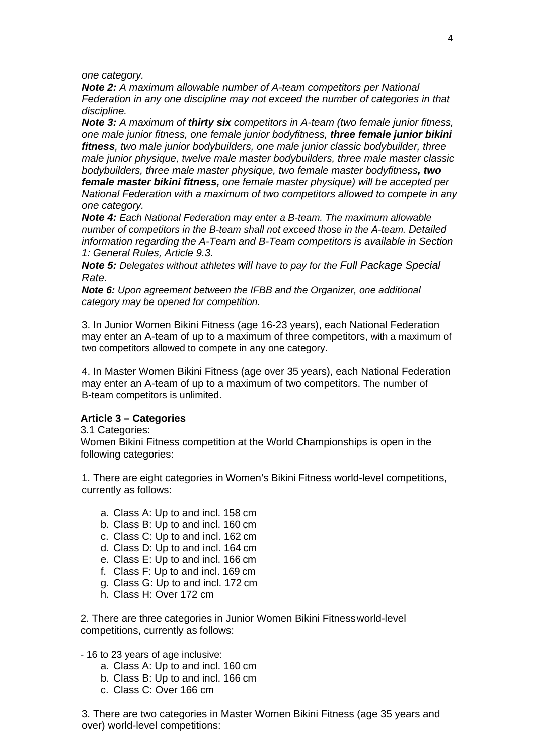*one category.*

*Note 2: A maximum allowable number of A-team competitors per National Federation in any one discipline may not exceed the number of categories in that discipline.*

*Note 3: A maximum of thirty six competitors in A-team (two female junior fitness, one male junior fitness, one female junior bodyfitness, three female junior bikini fitness, two male junior bodybuilders, one male junior classic bodybuilder, three male junior physique, twelve male master bodybuilders, three male master classic bodybuilders, three male master physique, two female master bodyfitness, two female master bikini fitness, one female master physique) will be accepted per National Federation with a maximum of two competitors allowed to compete in any one category.*

*Note 4: Each National Federation may enter a B-team. The maximum allowable number of competitors in the B-team shall not exceed those in the A-team. Detailed information regarding the A-Team and B-Team competitors is available in Section 1: General Rules, Article 9.3.*

*Note 5: Delegates without athletes will have to pay for the Full Package Special Rate.*

*Note 6: Upon agreement between the IFBB and the Organizer, one additional category may be opened for competition.*

3. In Junior Women Bikini Fitness (age 16-23 years), each National Federation may enter an A-team of up to a maximum of three competitors, with a maximum of two competitors allowed to compete in any one category.

4. In Master Women Bikini Fitness (age over 35 years), each National Federation may enter an A-team of up to a maximum of two competitors. The number of B-team competitors is unlimited.

#### **Article 3 – Categories**

3.1 Categories:

Women Bikini Fitness competition at the World Championships is open in the following categories:

1. There are eight categories in Women's Bikini Fitness world-level competitions, currently as follows:

- a. Class A: Up to and incl. 158 cm
- b. Class B: Up to and incl. 160 cm
- c. Class C: Up to and incl. 162 cm
- d. Class D: Up to and incl. 164 cm
- e. Class E: Up to and incl. 166 cm
- f. Class F: Up to and incl. 169 cm
- g. Class G: Up to and incl. 172 cm
- h. Class H: Over 172 cm

2. There are three categories in Junior Women Bikini Fitnessworld-level competitions, currently as follows:

#### - 16 to 23 years of age inclusive:

- a. Class A: Up to and incl. 160 cm
- b. Class B: Up to and incl. 166 cm
- c. Class C: Over 166 cm

3. There are two categories in Master Women Bikini Fitness (age 35 years and over) world-level competitions: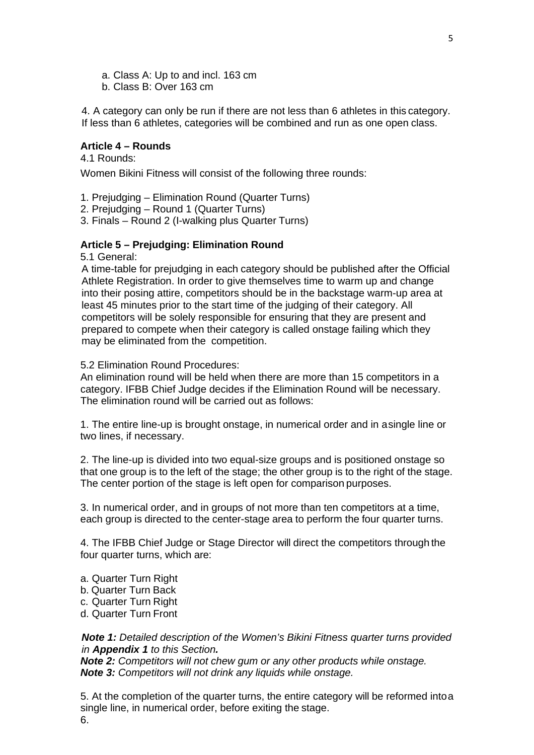- a. Class A: Up to and incl. 163 cm
- b. Class B: Over 163 cm

4. A category can only be run if there are not less than 6 athletes in this category. If less than 6 athletes, categories will be combined and run as one open class.

#### **Article 4 – Rounds**

4.1 Rounds:

Women Bikini Fitness will consist of the following three rounds:

- 1. Prejudging Elimination Round (Quarter Turns)
- 2. Prejudging Round 1 (Quarter Turns)
- 3. Finals Round 2 (I-walking plus Quarter Turns)

#### **Article 5 – Prejudging: Elimination Round**

5.1 General:

A time-table for prejudging in each category should be published after the Official Athlete Registration. In order to give themselves time to warm up and change into their posing attire, competitors should be in the backstage warm-up area at least 45 minutes prior to the start time of the judging of their category. All competitors will be solely responsible for ensuring that they are present and prepared to compete when their category is called onstage failing which they may be eliminated from the competition.

#### 5.2 Elimination Round Procedures:

An elimination round will be held when there are more than 15 competitors in a category. IFBB Chief Judge decides if the Elimination Round will be necessary. The elimination round will be carried out as follows:

1. The entire line-up is brought onstage, in numerical order and in asingle line or two lines, if necessary.

2. The line-up is divided into two equal-size groups and is positioned onstage so that one group is to the left of the stage; the other group is to the right of the stage. The center portion of the stage is left open for comparison purposes.

3. In numerical order, and in groups of not more than ten competitors at a time, each group is directed to the center-stage area to perform the four quarter turns.

4. The IFBB Chief Judge or Stage Director will direct the competitors through the four quarter turns, which are:

- a. Quarter Turn Right
- b. Quarter Turn Back
- c. Quarter Turn Right
- d. Quarter Turn Front

*Note 1: Detailed description of the Women's Bikini Fitness quarter turns provided in Appendix 1 to this Section.*

*Note 2: Competitors will not chew gum or any other products while onstage. Note 3: Competitors will not drink any liquids while onstage.*

5. At the completion of the quarter turns, the entire category will be reformed intoa single line, in numerical order, before exiting the stage. 6.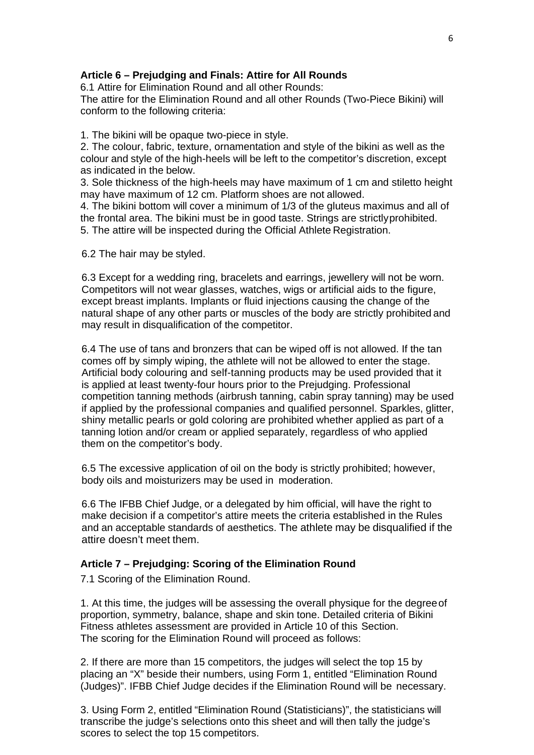#### **Article 6 – Prejudging and Finals: Attire for All Rounds**

6.1 Attire for Elimination Round and all other Rounds:

The attire for the Elimination Round and all other Rounds (Two-Piece Bikini) will conform to the following criteria:

1. The bikini will be opaque two-piece in style.

2. The colour, fabric, texture, ornamentation and style of the bikini as well as the colour and style of the high-heels will be left to the competitor's discretion, except as indicated in the below.

3. Sole thickness of the high-heels may have maximum of 1 cm and stiletto height may have maximum of 12 cm. Platform shoes are not allowed.

4. The bikini bottom will cover a minimum of 1/3 of the gluteus maximus and all of the frontal area. The bikini must be in good taste. Strings are strictlyprohibited. 5. The attire will be inspected during the Official Athlete Registration.

6.2 The hair may be styled.

6.3 Except for a wedding ring, bracelets and earrings, jewellery will not be worn. Competitors will not wear glasses, watches, wigs or artificial aids to the figure, except breast implants. Implants or fluid injections causing the change of the natural shape of any other parts or muscles of the body are strictly prohibited and may result in disqualification of the competitor.

6.4 The use of tans and bronzers that can be wiped off is not allowed. If the tan comes off by simply wiping, the athlete will not be allowed to enter the stage. Artificial body colouring and self-tanning products may be used provided that it is applied at least twenty-four hours prior to the Prejudging. Professional competition tanning methods (airbrush tanning, cabin spray tanning) may be used if applied by the professional companies and qualified personnel. Sparkles, glitter, shiny metallic pearls or gold coloring are prohibited whether applied as part of a tanning lotion and/or cream or applied separately, regardless of who applied them on the competitor's body.

6.5 The excessive application of oil on the body is strictly prohibited; however, body oils and moisturizers may be used in moderation.

6.6 The IFBB Chief Judge, or a delegated by him official, will have the right to make decision if a competitor's attire meets the criteria established in the Rules and an acceptable standards of aesthetics. The athlete may be disqualified if the attire doesn't meet them.

#### **Article 7 – Prejudging: Scoring of the Elimination Round**

7.1 Scoring of the Elimination Round.

1. At this time, the judges will be assessing the overall physique for the degreeof proportion, symmetry, balance, shape and skin tone. Detailed criteria of Bikini Fitness athletes assessment are provided in Article 10 of this Section. The scoring for the Elimination Round will proceed as follows:

2. If there are more than 15 competitors, the judges will select the top 15 by placing an "X" beside their numbers, using Form 1, entitled "Elimination Round (Judges)". IFBB Chief Judge decides if the Elimination Round will be necessary.

3. Using Form 2, entitled "Elimination Round (Statisticians)", the statisticians will transcribe the judge's selections onto this sheet and will then tally the judge's scores to select the top 15 competitors.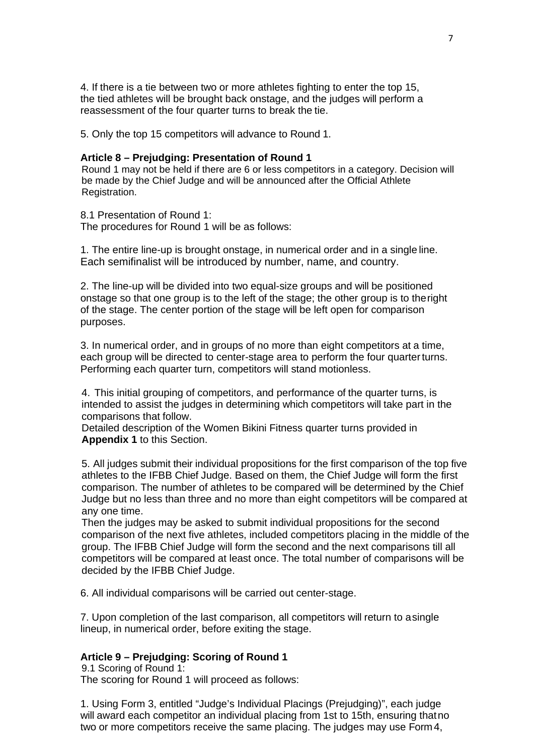4. If there is a tie between two or more athletes fighting to enter the top 15, the tied athletes will be brought back onstage, and the judges will perform a reassessment of the four quarter turns to break the tie.

5. Only the top 15 competitors will advance to Round 1.

#### **Article 8 – Prejudging: Presentation of Round 1**

Round 1 may not be held if there are 6 or less competitors in a category. Decision will be made by the Chief Judge and will be announced after the Official Athlete Registration.

8.1 Presentation of Round 1: The procedures for Round 1 will be as follows:

1. The entire line-up is brought onstage, in numerical order and in a single line. Each semifinalist will be introduced by number, name, and country.

2. The line-up will be divided into two equal-size groups and will be positioned onstage so that one group is to the left of the stage; the other group is to theright of the stage. The center portion of the stage will be left open for comparison purposes.

3. In numerical order, and in groups of no more than eight competitors at a time, each group will be directed to center-stage area to perform the four quarter turns. Performing each quarter turn, competitors will stand motionless.

4. This initial grouping of competitors, and performance of the quarter turns, is intended to assist the judges in determining which competitors will take part in the comparisons that follow.

Detailed description of the Women Bikini Fitness quarter turns provided in **Appendix 1** to this Section.

5. All judges submit their individual propositions for the first comparison of the top five athletes to the IFBB Chief Judge. Based on them, the Chief Judge will form the first comparison. The number of athletes to be compared will be determined by the Chief Judge but no less than three and no more than eight competitors will be compared at any one time.

Then the judges may be asked to submit individual propositions for the second comparison of the next five athletes, included competitors placing in the middle of the group. The IFBB Chief Judge will form the second and the next comparisons till all competitors will be compared at least once. The total number of comparisons will be decided by the IFBB Chief Judge.

6. All individual comparisons will be carried out center-stage.

7. Upon completion of the last comparison, all competitors will return to asingle lineup, in numerical order, before exiting the stage.

#### **Article 9 – Prejudging: Scoring of Round 1**

9.1 Scoring of Round 1: The scoring for Round 1 will proceed as follows:

1. Using Form 3, entitled "Judge's Individual Placings (Prejudging)", each judge will award each competitor an individual placing from 1st to 15th, ensuring thatno two or more competitors receive the same placing. The judges may use Form 4,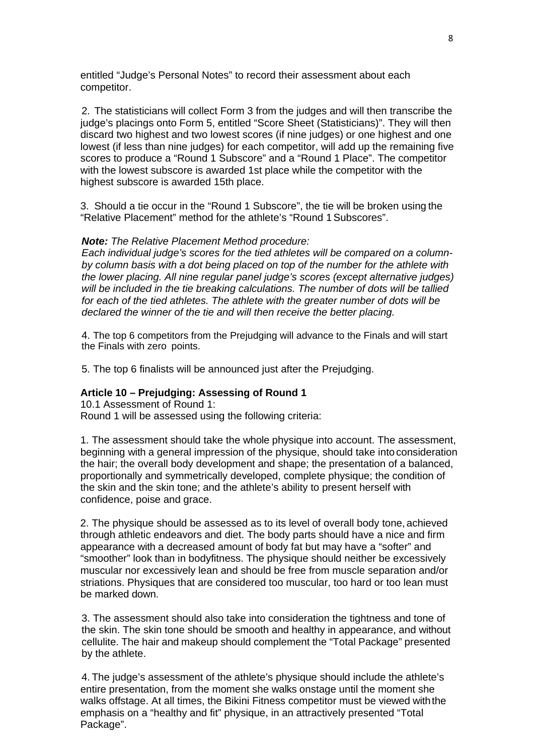entitled "Judge's Personal Notes" to record their assessment about each competitor.

2. The statisticians will collect Form 3 from the judges and will then transcribe the judge's placings onto Form 5, entitled "Score Sheet (Statisticians)". They will then discard two highest and two lowest scores (if nine judges) or one highest and one lowest (if less than nine judges) for each competitor, will add up the remaining five scores to produce a "Round 1 Subscore" and a "Round 1 Place". The competitor with the lowest subscore is awarded 1st place while the competitor with the highest subscore is awarded 15th place.

3. Should a tie occur in the "Round 1 Subscore", the tie will be broken using the "Relative Placement" method for the athlete's "Round 1Subscores".

#### *Note: The Relative Placement Method procedure:*

*Each individual judge's scores for the tied athletes will be compared on a columnby column basis with a dot being placed on top of the number for the athlete with the lower placing. All nine regular panel judge's scores (except alternative judges) will be included in the tie breaking calculations. The number of dots will be tallied for each of the tied athletes. The athlete with the greater number of dots will be declared the winner of the tie and will then receive the better placing.*

4. The top 6 competitors from the Prejudging will advance to the Finals and will start the Finals with zero points.

5. The top 6 finalists will be announced just after the Prejudging.

#### **Article 10 – Prejudging: Assessing of Round 1**

10.1 Assessment of Round 1: Round 1 will be assessed using the following criteria:

1. The assessment should take the whole physique into account. The assessment, beginning with a general impression of the physique, should take into consideration the hair; the overall body development and shape; the presentation of a balanced, proportionally and symmetrically developed, complete physique; the condition of the skin and the skin tone; and the athlete's ability to present herself with confidence, poise and grace.

2. The physique should be assessed as to its level of overall body tone, achieved through athletic endeavors and diet. The body parts should have a nice and firm appearance with a decreased amount of body fat but may have a "softer" and "smoother" look than in bodyfitness. The physique should neither be excessively muscular nor excessively lean and should be free from muscle separation and/or striations. Physiques that are considered too muscular, too hard or too lean must be marked down.

3. The assessment should also take into consideration the tightness and tone of the skin. The skin tone should be smooth and healthy in appearance, and without cellulite. The hair and makeup should complement the "Total Package" presented by the athlete.

4. The judge's assessment of the athlete's physique should include the athlete's entire presentation, from the moment she walks onstage until the moment she walks offstage. At all times, the Bikini Fitness competitor must be viewed withthe emphasis on a "healthy and fit" physique, in an attractively presented "Total Package".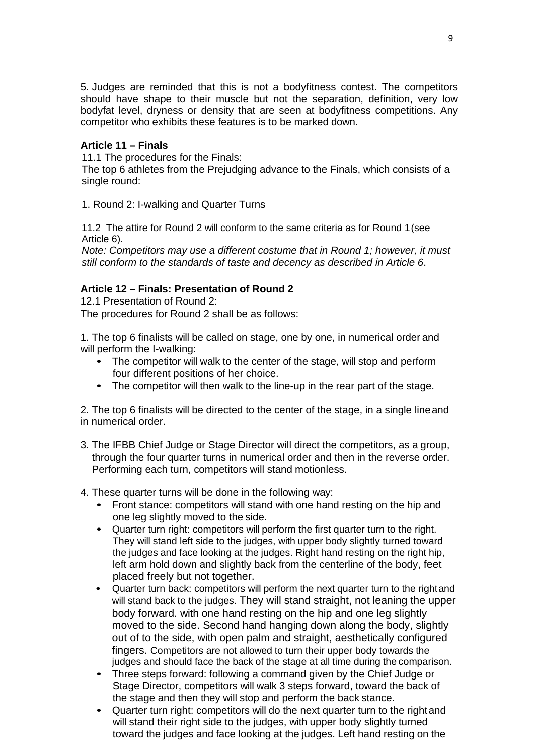5. Judges are reminded that this is not a bodyfitness contest. The competitors should have shape to their muscle but not the separation, definition, very low bodyfat level, dryness or density that are seen at bodyfitness competitions. Any competitor who exhibits these features is to be marked down.

#### **Article 11 – Finals**

11.1 The procedures for the Finals:

The top 6 athletes from the Prejudging advance to the Finals, which consists of a single round:

1. Round 2: I-walking and Quarter Turns

11.2 The attire for Round 2 will conform to the same criteria as for Round 1(see Article 6).

*Note: Competitors may use a different costume that in Round 1; however, it must still conform to the standards of taste and decency as described in Article 6*.

#### **Article 12 – Finals: Presentation of Round 2**

12.1 Presentation of Round 2: The procedures for Round 2 shall be as follows:

1. The top 6 finalists will be called on stage, one by one, in numerical order and will perform the I-walking:

- The competitor will walk to the center of the stage, will stop and perform four different positions of her choice.
- The competitor will then walk to the line-up in the rear part of the stage.

2. The top 6 finalists will be directed to the center of the stage, in a single lineand in numerical order.

- 3. The IFBB Chief Judge or Stage Director will direct the competitors, as a group, through the four quarter turns in numerical order and then in the reverse order. Performing each turn, competitors will stand motionless.
- 4. These quarter turns will be done in the following way:
	- Front stance: competitors will stand with one hand resting on the hip and one leg slightly moved to the side.
	- Quarter turn right: competitors will perform the first quarter turn to the right. They will stand left side to the judges, with upper body slightly turned toward the judges and face looking at the judges. Right hand resting on the right hip, left arm hold down and slightly back from the centerline of the body, feet placed freely but not together.
	- Quarter turn back: competitors will perform the next quarter turn to the rightand will stand back to the judges. They will stand straight, not leaning the upper body forward. with one hand resting on the hip and one leg slightly moved to the side. Second hand hanging down along the body, slightly out of to the side, with open palm and straight, aesthetically configured fingers. Competitors are not allowed to turn their upper body towards the judges and should face the back of the stage at all time during the comparison.
	- Three steps forward: following a command given by the Chief Judge or Stage Director, competitors will walk 3 steps forward, toward the back of the stage and then they will stop and perform the back stance.
	- Quarter turn right: competitors will do the next quarter turn to the right and will stand their right side to the judges, with upper body slightly turned toward the judges and face looking at the judges. Left hand resting on the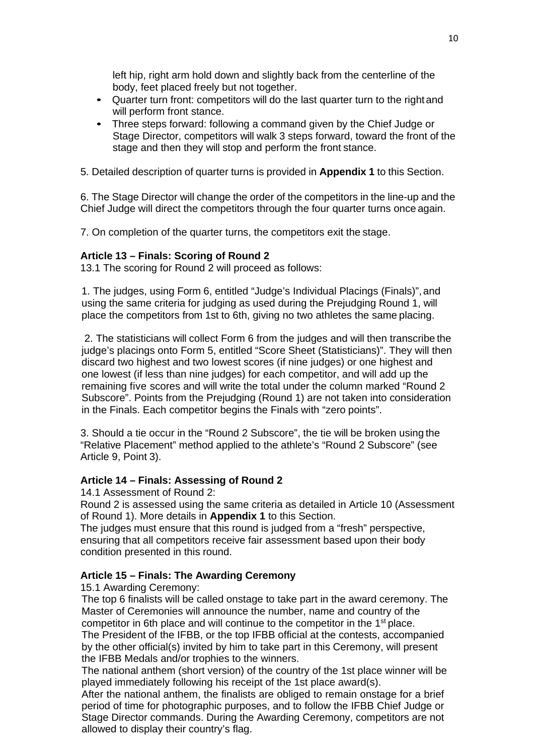left hip, right arm hold down and slightly back from the centerline of the body, feet placed freely but not together.

- Quarter turn front: competitors will do the last quarter turn to the rightand will perform front stance.
- Three steps forward: following a command given by the Chief Judge or Stage Director, competitors will walk 3 steps forward, toward the front of the stage and then they will stop and perform the front stance.

5. Detailed description of quarter turns is provided in **Appendix 1** to this Section.

6. The Stage Director will change the order of the competitors in the line-up and the Chief Judge will direct the competitors through the four quarter turns once again.

7. On completion of the quarter turns, the competitors exit the stage.

#### **Article 13 – Finals: Scoring of Round 2**

13.1 The scoring for Round 2 will proceed as follows:

1. The judges, using Form 6, entitled "Judge's Individual Placings (Finals)", and using the same criteria for judging as used during the Prejudging Round 1, will place the competitors from 1st to 6th, giving no two athletes the same placing.

2. The statisticians will collect Form 6 from the judges and will then transcribe the judge's placings onto Form 5, entitled "Score Sheet (Statisticians)". They will then discard two highest and two lowest scores (if nine judges) or one highest and one lowest (if less than nine judges) for each competitor, and will add up the remaining five scores and will write the total under the column marked "Round 2 Subscore". Points from the Prejudging (Round 1) are not taken into consideration in the Finals. Each competitor begins the Finals with "zero points".

3. Should a tie occur in the "Round 2 Subscore", the tie will be broken using the "Relative Placement" method applied to the athlete's "Round 2 Subscore" (see Article 9, Point 3).

#### **Article 14 – Finals: Assessing of Round 2**

14.1 Assessment of Round 2:

Round 2 is assessed using the same criteria as detailed in Article 10 (Assessment of Round 1). More details in **Appendix 1** to this Section.

The judges must ensure that this round is judged from a "fresh" perspective, ensuring that all competitors receive fair assessment based upon their body condition presented in this round.

#### **Article 15 – Finals: The Awarding Ceremony**

15.1 Awarding Ceremony:

The top 6 finalists will be called onstage to take part in the award ceremony. The Master of Ceremonies will announce the number, name and country of the competitor in 6th place and will continue to the competitor in the 1st place. The President of the IFBB, or the top IFBB official at the contests, accompanied by the other official(s) invited by him to take part in this Ceremony, will present the IFBB Medals and/or trophies to the winners.

The national anthem (short version) of the country of the 1st place winner will be played immediately following his receipt of the 1st place award(s).

After the national anthem, the finalists are obliged to remain onstage for a brief period of time for photographic purposes, and to follow the IFBB Chief Judge or Stage Director commands. During the Awarding Ceremony, competitors are not allowed to display their country's flag.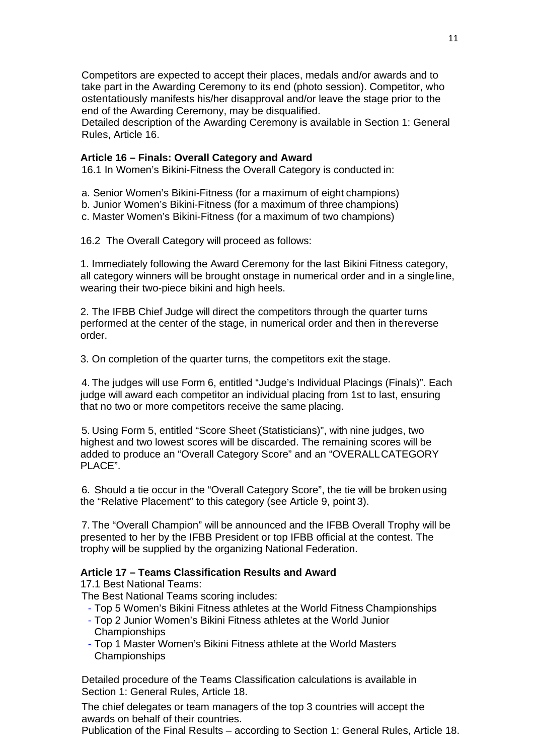Competitors are expected to accept their places, medals and/or awards and to take part in the Awarding Ceremony to its end (photo session). Competitor, who ostentatiously manifests his/her disapproval and/or leave the stage prior to the end of the Awarding Ceremony, may be disqualified.

Detailed description of the Awarding Ceremony is available in Section 1: General Rules, Article 16.

#### **Article 16 – Finals: Overall Category and Award**

16.1 In Women's Bikini-Fitness the Overall Category is conducted in:

a. Senior Women's Bikini-Fitness (for a maximum of eight champions)

b. Junior Women's Bikini-Fitness (for a maximum of three champions)

c. Master Women's Bikini-Fitness (for a maximum of two champions)

16.2 The Overall Category will proceed as follows:

1. Immediately following the Award Ceremony for the last Bikini Fitness category, all category winners will be brought onstage in numerical order and in a singleline, wearing their two-piece bikini and high heels.

2. The IFBB Chief Judge will direct the competitors through the quarter turns performed at the center of the stage, in numerical order and then in thereverse order.

3. On completion of the quarter turns, the competitors exit the stage.

4. The judges will use Form 6, entitled "Judge's Individual Placings (Finals)". Each judge will award each competitor an individual placing from 1st to last, ensuring that no two or more competitors receive the same placing.

5. Using Form 5, entitled "Score Sheet (Statisticians)", with nine judges, two highest and two lowest scores will be discarded. The remaining scores will be added to produce an "Overall Category Score" and an "OVERALLCATEGORY PLACE".

6. Should a tie occur in the "Overall Category Score", the tie will be broken using the "Relative Placement" to this category (see Article 9, point 3).

7. The "Overall Champion" will be announced and the IFBB Overall Trophy will be presented to her by the IFBB President or top IFBB official at the contest. The trophy will be supplied by the organizing National Federation.

#### **Article 17 – Teams Classification Results and Award**

17.1 Best National Teams:

The Best National Teams scoring includes:

- Top 5 Women's Bikini Fitness athletes at the World Fitness Championships
- Top 2 Junior Women's Bikini Fitness athletes at the World Junior Championships
- Top 1 Master Women's Bikini Fitness athlete at the World Masters Championships

Detailed procedure of the Teams Classification calculations is available in Section 1: General Rules, Article 18.

The chief delegates or team managers of the top 3 countries will accept the awards on behalf of their countries.

Publication of the Final Results – according to Section 1: General Rules, Article 18.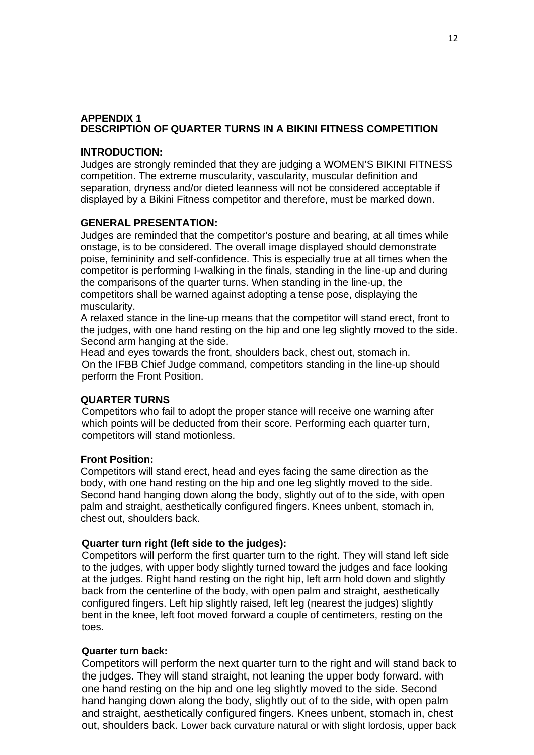#### **APPENDIX 1 DESCRIPTION OF QUARTER TURNS IN A BIKINI FITNESS COMPETITION**

#### **INTRODUCTION:**

Judges are strongly reminded that they are judging a WOMEN'S BIKINI FITNESS competition. The extreme muscularity, vascularity, muscular definition and separation, dryness and/or dieted leanness will not be considered acceptable if displayed by a Bikini Fitness competitor and therefore, must be marked down.

#### **GENERAL PRESENTATION:**

Judges are reminded that the competitor's posture and bearing, at all times while onstage, is to be considered. The overall image displayed should demonstrate poise, femininity and self-confidence. This is especially true at all times when the competitor is performing I-walking in the finals, standing in the line-up and during the comparisons of the quarter turns. When standing in the line-up, the competitors shall be warned against adopting a tense pose, displaying the muscularity.

A relaxed stance in the line-up means that the competitor will stand erect, front to the judges, with one hand resting on the hip and one leg slightly moved to the side. Second arm hanging at the side.

Head and eyes towards the front, shoulders back, chest out, stomach in. On the IFBB Chief Judge command, competitors standing in the line-up should perform the Front Position.

#### **QUARTER TURNS**

Competitors who fail to adopt the proper stance will receive one warning after which points will be deducted from their score. Performing each quarter turn, competitors will stand motionless.

#### **Front Position:**

Competitors will stand erect, head and eyes facing the same direction as the body, with one hand resting on the hip and one leg slightly moved to the side. Second hand hanging down along the body, slightly out of to the side, with open palm and straight, aesthetically configured fingers. Knees unbent, stomach in, chest out, shoulders back.

#### **Quarter turn right (left side to the judges):**

Competitors will perform the first quarter turn to the right. They will stand left side to the judges, with upper body slightly turned toward the judges and face looking at the judges. Right hand resting on the right hip, left arm hold down and slightly back from the centerline of the body, with open palm and straight, aesthetically configured fingers. Left hip slightly raised, left leg (nearest the judges) slightly bent in the knee, left foot moved forward a couple of centimeters, resting on the toes.

#### **Quarter turn back:**

Competitors will perform the next quarter turn to the right and will stand back to the judges. They will stand straight, not leaning the upper body forward. with one hand resting on the hip and one leg slightly moved to the side. Second hand hanging down along the body, slightly out of to the side, with open palm and straight, aesthetically configured fingers. Knees unbent, stomach in, chest out, shoulders back. Lower back curvature natural or with slight lordosis, upper back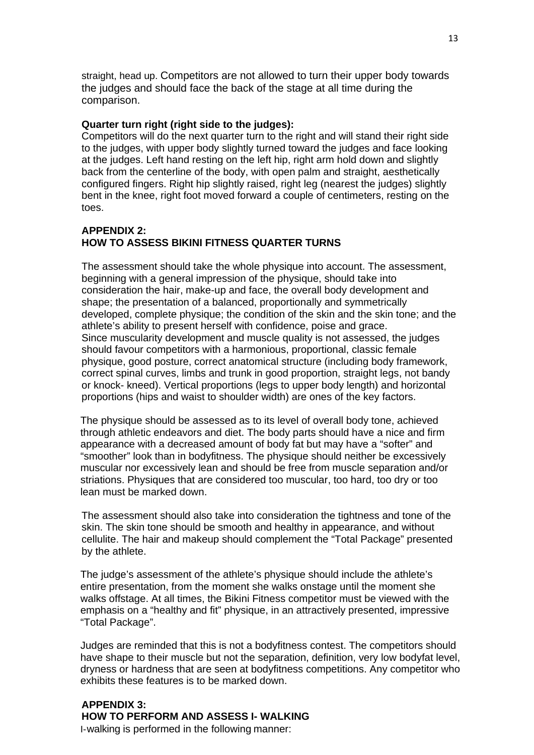straight, head up. Competitors are not allowed to turn their upper body towards the judges and should face the back of the stage at all time during the comparison.

#### **Quarter turn right (right side to the judges):**

Competitors will do the next quarter turn to the right and will stand their right side to the judges, with upper body slightly turned toward the judges and face looking at the judges. Left hand resting on the left hip, right arm hold down and slightly back from the centerline of the body, with open palm and straight, aesthetically configured fingers. Right hip slightly raised, right leg (nearest the judges) slightly bent in the knee, right foot moved forward a couple of centimeters, resting on the toes.

#### **APPENDIX 2: HOW TO ASSESS BIKINI FITNESS QUARTER TURNS**

The assessment should take the whole physique into account. The assessment, beginning with a general impression of the physique, should take into consideration the hair, make-up and face, the overall body development and shape; the presentation of a balanced, proportionally and symmetrically developed, complete physique; the condition of the skin and the skin tone; and the athlete's ability to present herself with confidence, poise and grace. Since muscularity development and muscle quality is not assessed, the judges should favour competitors with a harmonious, proportional, classic female physique, good posture, correct anatomical structure (including body framework, correct spinal curves, limbs and trunk in good proportion, straight legs, not bandy or knock- kneed). Vertical proportions (legs to upper body length) and horizontal proportions (hips and waist to shoulder width) are ones of the key factors.

The physique should be assessed as to its level of overall body tone, achieved through athletic endeavors and diet. The body parts should have a nice and firm appearance with a decreased amount of body fat but may have a "softer" and "smoother" look than in bodyfitness. The physique should neither be excessively muscular nor excessively lean and should be free from muscle separation and/or striations. Physiques that are considered too muscular, too hard, too dry or too lean must be marked down.

The assessment should also take into consideration the tightness and tone of the skin. The skin tone should be smooth and healthy in appearance, and without cellulite. The hair and makeup should complement the "Total Package" presented by the athlete.

The judge's assessment of the athlete's physique should include the athlete's entire presentation, from the moment she walks onstage until the moment she walks offstage. At all times, the Bikini Fitness competitor must be viewed with the emphasis on a "healthy and fit" physique, in an attractively presented, impressive "Total Package".

Judges are reminded that this is not a bodyfitness contest. The competitors should have shape to their muscle but not the separation, definition, very low bodyfat level, dryness or hardness that are seen at bodyfitness competitions. Any competitor who exhibits these features is to be marked down.

#### **APPENDIX 3: HOW TO PERFORM AND ASSESS I- WALKING** I-walking is performed in the following manner: